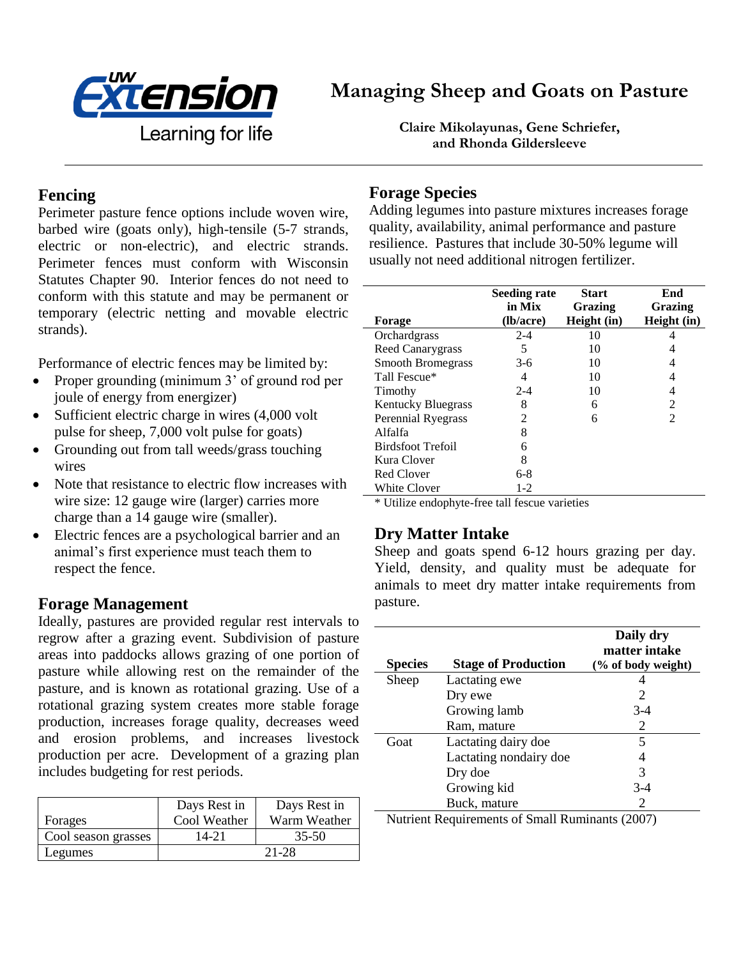

# **Managing Sheep and Goats on Pasture**

Learning for life

**Claire Mikolayunas, Gene Schriefer, and Rhonda Gildersleeve**

#### **Fencing**

Perimeter pasture fence options include woven wire, barbed wire (goats only), high-tensile (5-7 strands, electric or non-electric), and electric strands. Perimeter fences must conform with Wisconsin Statutes Chapter 90. Interior fences do not need to conform with this statute and may be permanent or temporary (electric netting and movable electric strands).

Performance of electric fences may be limited by:

- Proper grounding (minimum 3' of ground rod per joule of energy from energizer)
- Sufficient electric charge in wires (4,000 volt pulse for sheep, 7,000 volt pulse for goats)
- Grounding out from tall weeds/grass touching wires
- Note that resistance to electric flow increases with wire size: 12 gauge wire (larger) carries more charge than a 14 gauge wire (smaller).
- Electric fences are a psychological barrier and an animal's first experience must teach them to respect the fence.

#### **Forage Management**

Ideally, pastures are provided regular rest intervals to regrow after a grazing event. Subdivision of pasture areas into paddocks allows grazing of one portion of pasture while allowing rest on the remainder of the pasture, and is known as rotational grazing. Use of a rotational grazing system creates more stable forage production, increases forage quality, decreases weed and erosion problems, and increases livestock production per acre. Development of a grazing plan includes budgeting for rest periods.

|                     | Days Rest in | Days Rest in |
|---------------------|--------------|--------------|
| Forages             | Cool Weather | Warm Weather |
| Cool season grasses | 14-21        | $35 - 50$    |
| Legumes             | 21-28        |              |

## **Forage Species**

Adding legumes into pasture mixtures increases forage quality, availability, animal performance and pasture resilience. Pastures that include 30-50% legume will usually not need additional nitrogen fertilizer.

| <b>Forage</b>             | <b>Seeding rate</b><br>in Mix<br>(lb/acre) | <b>Start</b><br>Grazing<br>Height (in) | End<br>Grazing<br>Height (in) |
|---------------------------|--------------------------------------------|----------------------------------------|-------------------------------|
| Orchardgrass              | $2 - 4$                                    | 10                                     |                               |
| Reed Canarygrass          | 5                                          | 10                                     |                               |
| <b>Smooth Bromegrass</b>  | $3-6$                                      | 10                                     |                               |
| Tall Fescue*              | 4                                          | 10                                     |                               |
| Timothy                   | $2 - 4$                                    | 10                                     | 4                             |
| <b>Kentucky Bluegrass</b> | 8                                          | 6                                      | $\mathfrak{D}$                |
| <b>Perennial Ryegrass</b> | $\mathfrak{D}$                             | 6                                      | $\mathcal{D}_{\mathcal{L}}$   |
| Alfalfa                   | 8                                          |                                        |                               |
| <b>Birdsfoot Trefoil</b>  | 6                                          |                                        |                               |
| Kura Clover               | 8                                          |                                        |                               |
| Red Clover                | $6-8$                                      |                                        |                               |
| <b>White Clover</b>       | 1-2                                        |                                        |                               |

\* Utilize endophyte-free tall fescue varieties

#### **Dry Matter Intake**

Sheep and goats spend 6-12 hours grazing per day. Yield, density, and quality must be adequate for animals to meet dry matter intake requirements from pasture.

| <b>Species</b> | <b>Stage of Production</b> | Daily dry<br>matter intake<br>(% of body weight) |
|----------------|----------------------------|--------------------------------------------------|
| Sheep          | Lactating ewe              |                                                  |
|                | Dry ewe                    | 2                                                |
|                | Growing lamb               | $3-4$                                            |
|                | Ram, mature                | 2                                                |
| Goat           | Lactating dairy doe        | 5                                                |
|                | Lactating nondairy doe     |                                                  |
|                | Dry doe                    | 3                                                |
|                | Growing kid                | $3-4$                                            |
|                | Buck, mature               |                                                  |

Nutrient Requirements of Small Ruminants (2007)